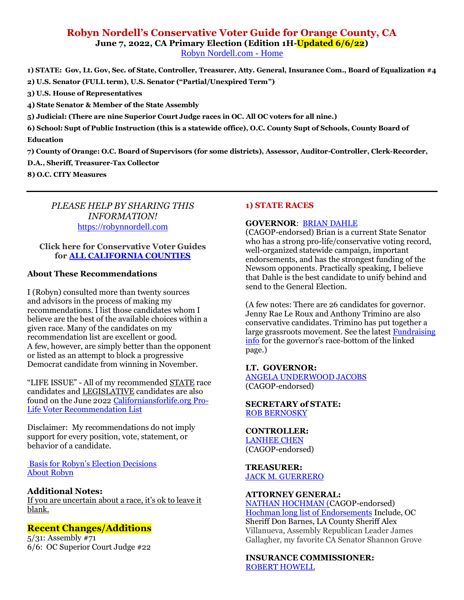# **Robyn Nordell's Conservative Voter Guide for Orange County, CA June 7, 2022, CA Primary Election (Edition [1H](https://robynnordell.com/)-Updated 6/6/22)**

[Robyn Nordell.com -](https://robynnordell.com/) Home

**1) STATE: Gov, Lt. Gov, Sec. of State, Controller, Treasurer, Atty. General, Insurance Com., Board of Equalization #4 2) U.S. Senator (FULL term), U.S. Senator ("Partial/Unexpired Term")** 

**3) U.S. House of Representatives** 

**4) State Senator & Member of the State Assembly**

**5) Judicial: (There are nine Superior Court Judge races in OC. All OC voters for all nine.)** 

**6) School: Supt of Public Instruction (this is a statewide office), O.C. County Supt of Schools, County Board of Education** 

**7) County of Orange: O.C. Board of Supervisors (for some districts), Assessor, Auditor-Controller, Clerk-Recorder,** 

**D.A., Sheriff, Treasurer-Tax Collector**

**8) O.C. CITY Measures**

## *PLEASE HELP BY SHARING THIS INFORMATION!* [https://robynnordell.com](https://robynnordell.com/)

## **Click here for Conservative Voter Guides for [ALL CALIFORNIA COUNTIES](https://robynnordell.com/counties/)**

## **About These Recommendations**

I (Robyn) consulted more than twenty sources and advisors in the process of making my recommendations. I list those candidates whom I believe are the best of the available choices within a given race. Many of the candidates on my recommendation list are excellent or good. A few, however, are simply better than the opponent or listed as an attempt to block a progressive Democrat candidate from winning in November.

"LIFE ISSUE" - All of my recommended STATE race candidates and LEGISLATIVE candidates are also found on the June 2022 [Californiansforlife.org Pro-](https://californiansforlife.org/statewide-workgroups/voter-educationlegislation-and-initiatives/)[Life Voter Recommendation List](https://californiansforlife.org/statewide-workgroups/voter-educationlegislation-and-initiatives/)

Disclaimer:My recommendations do not imply support for every position, vote, statement, or behavior of a candidate.

[Basis for Robyn's Election Decisions](https://robynnordell.com/basis-for-robyns-recommendations/) [About Robyn](https://robynnordell.com/about-robyn/)

## **Additional Notes:**

If you are uncertain about a race, it's ok to leave it blank.

## **Recent Changes/Additions**

5/31: Assembly #71 6/6: OC Superior Court Judge #22

## **1) STATE RACES**

## **GOVERNOR**: [BRIAN DAHLE](https://briandahle.com/about-brian/)

(CAGOP-endorsed) Brian is a current State Senator who has a strong pro-life/conservative voting record, well-organized statewide campaign, important endorsements, and has the strongest funding of the Newsom opponents. Practically speaking, I believe that Dahle is the best candidate to unify behind and send to the General Election.

(A few notes: There are 26 candidates for governor. Jenny Rae Le Roux and Anthony Trimino are also conservative candidates. Trimino has put together a large grassroots movement. See the latest [Fundraising](https://calmatters.org/california-voter-guide-2022/governor/)  [info](https://calmatters.org/california-voter-guide-2022/governor/) for the governor's race-bottom of the linked page.)

#### **LT. GOVERNOR:** [ANGELA UNDERWOOD JACOBS](https://www.angelaforcalifornia.com/about)

(CAGOP-endorsed)

## **SECRETARY of STATE:**  [ROB BERNOSKY](http://www.votebernosky.com/)

## **CONTROLLER:**

[LANHEE CHEN](https://chenforcalifornia.com/endorsements/) (CAGOP-endorsed)

## **TREASURER:** [JACK M. GUERRERO](https://www.jack4treasurer.com/)

## **ATTORNEY GENERAL:**

[NATHAN HOCHMAN](https://www.nathanhochman.com/) (CAGOP-endorsed) [Hochman long list of Endorsements](https://www.nathanhochman.com/endorsements/) Include, OC Sheriff Don Barnes, LA County Sheriff Alex Villanueva, Assembly Republican Leader James Gallagher, my favorite CA Senator Shannon Grove

**INSURANCE COMMISSIONER:** [ROBERT HOWELL](https://electroberthowell.com/meet-robert/)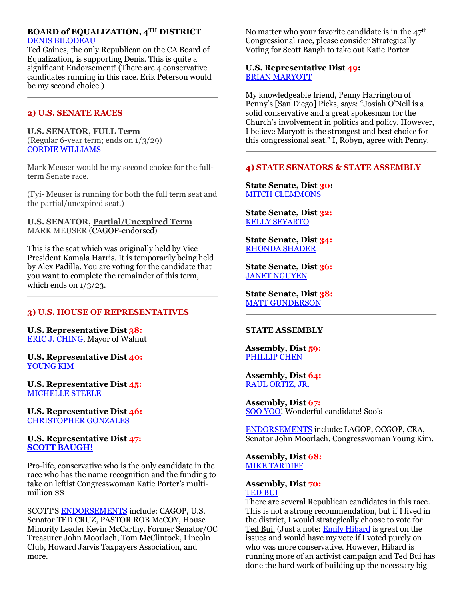## **BOARD of EQUALIZATION, 4TH DISTRICT** [DENIS BILODEAU](https://denisbilodeau.com/)

Ted Gaines, the only Republican on the CA Board of Equalization, is supporting Denis. This is quite a significant Endorsement! (There are 4 conservative candidates running in this race. Erik Peterson would be my second choice.)

## **2) U.S. SENATE RACES**

## **U.S. SENATOR, FULL Term**

(Regular 6-year term; ends on 1/3/29) [CORDIE WILLIAMS](https://www.cordie4senate.com/endorsements/)

Mark Meuser would be my second choice for the fullterm Senate race.

(Fyi- Meuser is running for both the full term seat and the partial/unexpired seat.)

## **U.S. SENATOR, Partial/Unexpired Term** MARK MEUSER (CAGOP-endorsed)

This is the seat which was originally held by Vice President Kamala Harris. It is temporarily being held by Alex Padilla. You are voting for the candidate that you want to complete the remainder of this term, which ends on  $1/3/23$ .

## **3) U.S. HOUSE OF REPRESENTATIVES**

**U.S. Representative Dist 38:** [ERIC J. CHING,](https://ericchingforcongress.com/) Mayor of Walnut

**U.S. Representative Dist 40:** [YOUNG KIM](https://youngkimforcongress.com/endorsements/)

**U.S. Representative Dist 45:** [MICHELLE STEELE](https://michellesteelca.com/)

**U.S. Representative Dist 46:** [CHRISTOPHER GONZALES](https://gonzalesforcongress.com/about-christopher/)

## **U.S. Representative Dist 47: [SCOTT BAUGH](https://baughforcongress.com/)**!

Pro-life, conservative who is the only candidate in the race who has the name recognition and the funding to take on leftist Congresswoman Katie Porter's multimillion \$\$

SCOTT'S [ENDORSEMENTS](https://baughforcongress.com/endorsements/) include: CAGOP, U.S. Senator TED CRUZ, PASTOR ROB McCOY, House Minority Leader Kevin McCarthy, Former Senator/OC Treasurer John Moorlach, Tom McClintock, Lincoln Club, Howard Jarvis Taxpayers Association, and more.

No matter who your favorite candidate is in the  $47<sup>th</sup>$ Congressional race, please consider Strategically Voting for Scott Baugh to take out Katie Porter.

## **U.S. Representative Dist 49:** [BRIAN MARYOTT](https://maryottforcongress.com/)

My knowledgeable friend, Penny Harrington of Penny's [San Diego] Picks, says: "Josiah O'Neil is a solid conservative and a great spokesman for the Church's involvement in politics and policy. However, I believe Maryott is the strongest and best choice for this congressional seat." I, Robyn, agree with Penny.

## **4) STATE SENATORS & STATE ASSEMBLY**

**State Senate, Dist 30:**  [MITCH CLEMMONS](https://www.electmitchclemmons.com/?fbclid=IwAR2sR0RQG8eu9l0XjH5wVlo0PXv26jPFFPl6dclGN0aL4t9bhB7se1SazPo)

**State Senate, Dist 32:** [KELLY SEYARTO](https://seyartoforsenate.com/endorsements/)

**State Senate, Dist 34:** [RHONDA SHADER](https://shaderforsenate.com/)

**State Senate, Dist 36:** [JANET NGUYEN](https://janet2022.com/endorsements/)

**State Senate, Dist 38:** [MATT GUNDERSON](https://gowithgunderson.com/about-matt)

## **STATE ASSEMBLY**

**Assembly, Dist 59:** [PHILLIP CHEN](https://www.phillipchen.org/)

**Assembly, Dist 64:** [RAUL ORTIZ,](https://direct.me/raulforassembly) JR.

**Assembly, Dist 67:** [SOO YOO!](https://sooyooforassembly.com/endorsements/) Wonderful candidate! Soo's

[ENDORSEMENTS](https://sooyooforassembly.com/endorsements/) include: LAGOP, OCGOP, CRA, Senator John Moorlach, Congresswoman Young Kim.

**Assembly, Dist 68:** [MIKE TARDIFF](https://ocgop.org/endorsements/)

#### **Assembly, Dist 70:** [TED BUI](https://voteforted.com/endorsements/)

There are several Republican candidates in this race. This is not a strong recommendation, but if I lived in the district, I would strategically choose to vote for Ted Bui. (Just a note: **Emily Hibard** is great on the issues and would have my vote if I voted purely on who was more conservative. However, Hibard is running more of an activist campaign and Ted Bui has done the hard work of building up the necessary big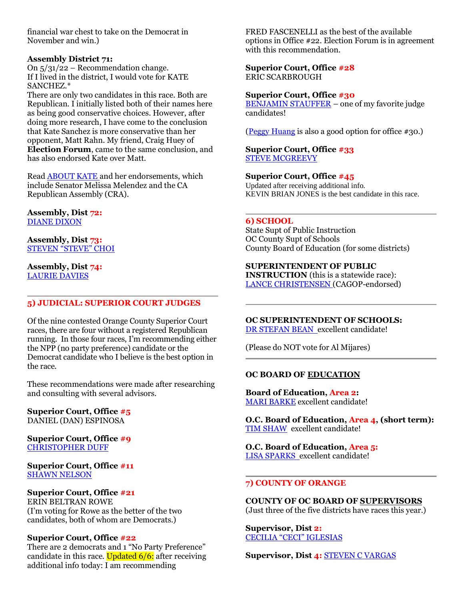financial war chest to take on the Democrat in November and win.)

## **Assembly District 71:**

On 5/31/22 – Recommendation change. If I lived in the district, I would vote for KATE SANCHEZ.\*

There are only two candidates in this race. Both are Republican. I initially listed both of their names here as being good conservative choices. However, after doing more research, I have come to the conclusion that Kate Sanchez is more conservative than her opponent, Matt Rahn. My friend, Craig Huey of **Election Forum**, came to the same conclusion, and has also endorsed Kate over Matt.

Read [ABOUT KATE](https://www.sanchezforassembly.com/) and her endorsements, which include Senator Melissa Melendez and the CA Republican Assembly (CRA).

**Assembly, Dist 72:** [DIANE DIXON](http://dianedixonforassembly.com/#endorsed)

**Assembly, Dist 73:** [STEVEN "STEVE" CHOI](https://www.stevenchoi.org/)

**Assembly, Dist 74:** [LAURIE DAVIES](https://www.daviesforca.com/endorsements)

## **5) JUDICIAL: SUPERIOR COURT JUDGES**

Of the nine contested Orange County Superior Court races, there are four without a registered Republican running. In those four races, I'm recommending either the NPP (no party preference) candidate or the Democrat candidate who I believe is the best option in the race.

These recommendations were made after researching and consulting with several advisors.

**Superior Court, Office #5** DANIEL (DAN) ESPINOSA

**Superior Court, Office #9** [CHRISTOPHER DUFF](http://www.duff4judge.com/)

**Superior Court, Office #11 [SHAWN NELSON](http://www.nelsonjudge.com/)** 

## **Superior Court, Office #21**

ERIN BELTRAN ROWE (I'm voting for Rowe as the better of the two candidates, both of whom are Democrats.)

#### **Superior Court, Office #22**

There are 2 democrats and 1 "No Party Preference" candidate in this race. Updated  $6/6$ : after receiving additional info today: I am recommending

FRED FASCENELLI as the best of the available options in Office #22. Election Forum is in agreement with this recommendation.

#### **Superior Court, Office #28** ERIC SCARBROUGH

#### **Superior Court, Office #30**

[BENJAMIN STAUFFER](https://ballotpedia.org/Benjamin_Stauffer) – one of my favorite judge candidates!

[\(Peggy Huang](https://www.peggyhuang.com/) is also a good option for office #30.)

#### **Superior Court, Office #33** [STEVE MCGREEVY](https://mcgreevy4judge.com/)

**Superior Court, Office #45** Updated after receiving additional info. KEVIN BRIAN JONES is the best candidate in this race.

#### **6) SCHOOL**

State Supt of Public Instruction OC County Supt of Schools County Board of Education (for some districts)

## **SUPERINTENDENT OF PUBLIC**

**INSTRUCTION** (this is a statewide race): [LANCE CHRISTENSEN](https://lancechristensen.com/endorsements) (CAGOP-endorsed)

**OC SUPERINTENDENT OF SCHOOLS:** [DR STEFAN BEAN](https://www.drbeanoc.com/about-9) excellent candidate!

(Please do NOT vote for Al Mijares)

## **OC BOARD OF EDUCATION**

**Board of Education, Area 2:** [MARI BARKE](https://maribarke.com/endorsements/) excellent candidate!

**O.C. Board of Education, Area 4, (short term):** [TIM SHAW](https://www.shawforschools.com/) excellent candidate!

**O.C. Board of Education, Area 5:** [LISA SPARKS](https://www.sparksforschools.com/endorsements) excellent candidate!

## **7) COUNTY OF ORANGE**

**COUNTY OF OC BOARD OF SUPERVISORS** (Just three of the five districts have races this year.)

**Supervisor, Dist 2:** [CECILIA "CECI" IGLESIAS](https://www.iglesiasforsupervisor.com/)

**Supervisor, Dist 4:** [STEVEN C VARGAS](https://www.vargas4supervisor.com/endorsements)